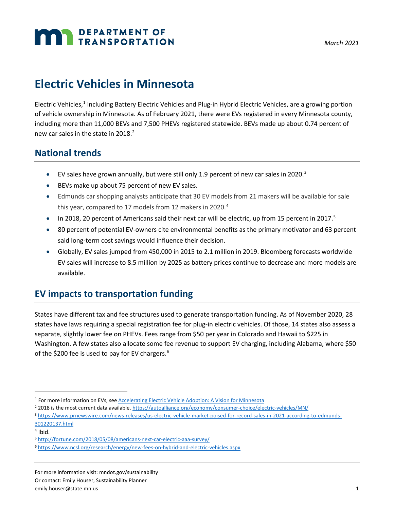# **MAN DEPARTMENT OF TRANSPORTATION**

# **Electric Vehicles in Minnesota**

Electric Vehicles,<sup>[1](#page-0-0)</sup> including Battery Electric Vehicles and Plug-in Hybrid Electric Vehicles, are a growing portion of vehicle ownership in Minnesota. As of February 2021, there were EVs registered in every Minnesota county, including more than 11,000 BEVs and 7,500 PHEVs registered statewide. BEVs made up about 0.74 percent of new car sales in the state in [2](#page-0-1)018.<sup>2</sup>

## **National trends**

- EV sales have grown annually, but were still only 1.9 percent of new car sales in 2020.<sup>[3](#page-0-2)</sup>
- BEVs make up about 75 percent of new EV sales.
- Edmunds car shopping analysts anticipate that 30 EV models from 21 makers will be available for sale this year, compared to 17 models from 12 makers in 2020.<sup>[4](#page-0-3)</sup>
- In 2018, 20 percent of Americans said their next car will be electric, up from 1[5](#page-0-4) percent in 2017.<sup>5</sup>
- 80 percent of potential EV-owners cite environmental benefits as the primary motivator and 63 percent said long-term cost savings would influence their decision.
- Globally, EV sales jumped from 450,000 in 2015 to 2.1 million in 2019. Bloomberg forecasts worldwide EV sales will increase to 8.5 million by 2025 as battery prices continue to decrease and more models are available.

# **EV impacts to transportation funding**

States have different tax and fee structures used to generate transportation funding. As of November 2020, 28 states have laws requiring a special registration fee for plug-in electric vehicles. Of those, 14 states also assess a separate, slightly lower fee on PHEVs. Fees range from \$50 per year in Colorado and Hawaii to \$225 in Washington. A few states also allocate some fee revenue to support EV charging, including Alabama, where \$50 of the \$200 fee is used to pay for EV chargers.<sup>[6](#page-0-5)</sup>

emily.houser@state.mn.us 1

<span id="page-0-0"></span><sup>1</sup> For more information on EVs, see [Accelerating Electric Vehicle Adoption: A Vision for Minnesota](http://www.dot.state.mn.us/sustainability/docs/mn-ev-vision.pdf)

<span id="page-0-1"></span><sup>&</sup>lt;sup>2</sup> 2018 is the most current data available.<https://autoalliance.org/economy/consumer-choice/electric-vehicles/MN/>

<span id="page-0-2"></span><sup>3</sup> [https://www.prnewswire.com/news-releases/us-electric-vehicle-market-poised-for-record-sales-in-2021-according-to-edmunds-](https://www.prnewswire.com/news-releases/us-electric-vehicle-market-poised-for-record-sales-in-2021-according-to-edmunds-301220137.html)[301220137.html](https://www.prnewswire.com/news-releases/us-electric-vehicle-market-poised-for-record-sales-in-2021-according-to-edmunds-301220137.html)

<span id="page-0-3"></span> $<sup>4</sup>$  Ibid.</sup>

<span id="page-0-4"></span><sup>5</sup> <http://fortune.com/2018/05/08/americans-next-car-electric-aaa-survey/>

<span id="page-0-5"></span><sup>6</sup> <https://www.ncsl.org/research/energy/new-fees-on-hybrid-and-electric-vehicles.aspx>

For more information visit: mndot.gov/sustainability Or contact: Emily Houser, Sustainability Planner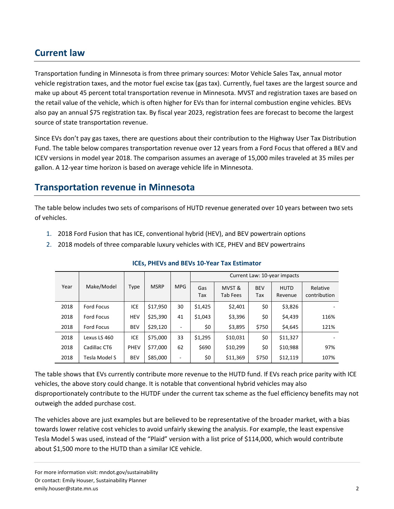# **Current law**

Transportation funding in Minnesota is from three primary sources: Motor Vehicle Sales Tax, annual motor vehicle registration taxes, and the motor fuel excise tax (gas tax). Currently, fuel taxes are the largest source and make up about 45 percent total transportation revenue in Minnesota. MVST and registration taxes are based on the retail value of the vehicle, which is often higher for EVs than for internal combustion engine vehicles. BEVs also pay an annual \$75 registration tax. By fiscal year 2023, registration fees are forecast to become the largest source of state transportation revenue.

Since EVs don't pay gas taxes, there are questions about their contribution to the Highway User Tax Distribution Fund. The table below compares transportation revenue over 12 years from a Ford Focus that offered a BEV and ICEV versions in model year 2018. The comparison assumes an average of 15,000 miles traveled at 35 miles per gallon. A 12-year time horizon is based on average vehicle life in Minnesota.

### **Transportation revenue in Minnesota**

The table below includes two sets of comparisons of HUTD revenue generated over 10 years between two sets of vehicles.

- 1. 2018 Ford Fusion that has ICE, conventional hybrid (HEV), and BEV powertrain options
- 2. 2018 models of three comparable luxury vehicles with ICE, PHEV and BEV powertrains

|      | Make/Model        | Type        | <b>MSRP</b> | <b>MPG</b> | Current Law: 10-year impacts |                    |                   |                        |                          |
|------|-------------------|-------------|-------------|------------|------------------------------|--------------------|-------------------|------------------------|--------------------------|
| Year |                   |             |             |            | Gas<br>Tax                   | MVST &<br>Tab Fees | <b>BEV</b><br>Tax | <b>HUTD</b><br>Revenue | Relative<br>contribution |
| 2018 | <b>Ford Focus</b> | ICE         | \$17,950    | 30         | \$1,425                      | \$2,401            | \$0               | \$3,826                |                          |
| 2018 | <b>Ford Focus</b> | <b>HEV</b>  | \$25,390    | 41         | \$1,043                      | \$3,396            | \$0               | \$4,439                | 116%                     |
| 2018 | <b>Ford Focus</b> | <b>BEV</b>  | \$29,120    |            | \$0                          | \$3,895            | \$750             | \$4,645                | 121%                     |
| 2018 | Lexus LS 460      | ICE         | \$75,000    | 33         | \$1,295                      | \$10,031           | \$0               | \$11,327               |                          |
| 2018 | Cadillac CT6      | <b>PHEV</b> | \$77,000    | 62         | \$690                        | \$10,299           | \$0               | \$10,988               | 97%                      |
| 2018 | Tesla Model S     | <b>BEV</b>  | \$85,000    | ۰          | \$0                          | \$11,369           | \$750             | \$12,119               | 107%                     |

#### **ICEs, PHEVs and BEVs 10-Year Tax Estimator**

The table shows that EVs currently contribute more revenue to the HUTD fund. If EVs reach price parity with ICE vehicles, the above story could change. It is notable that conventional hybrid vehicles may also disproportionately contribute to the HUTDF under the current tax scheme as the fuel efficiency benefits may not outweigh the added purchase cost.

The vehicles above are just examples but are believed to be representative of the broader market, with a bias towards lower relative cost vehicles to avoid unfairly skewing the analysis. For example, the least expensive Tesla Model S was used, instead of the "Plaid" version with a list price of \$114,000, which would contribute about \$1,500 more to the HUTD than a similar ICE vehicle.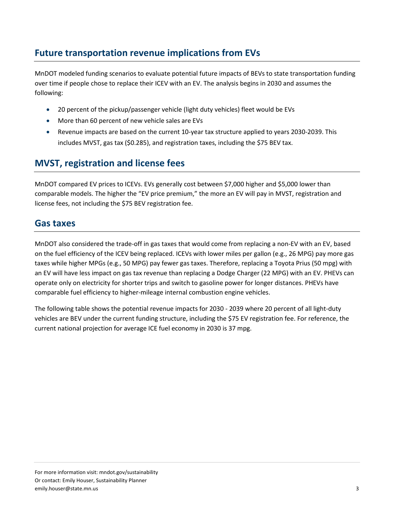# **Future transportation revenue implications from EVs**

MnDOT modeled funding scenarios to evaluate potential future impacts of BEVs to state transportation funding over time if people chose to replace their ICEV with an EV. The analysis begins in 2030 and assumes the following:

- 20 percent of the pickup/passenger vehicle (light duty vehicles) fleet would be EVs
- More than 60 percent of new vehicle sales are EVs
- Revenue impacts are based on the current 10-year tax structure applied to years 2030-2039. This includes MVST, gas tax (\$0.285), and registration taxes, including the \$75 BEV tax.

## **MVST, registration and license fees**

MnDOT compared EV prices to ICEVs. EVs generally cost between \$7,000 higher and \$5,000 lower than comparable models. The higher the "EV price premium," the more an EV will pay in MVST, registration and license fees, not including the \$75 BEV registration fee.

## **Gas taxes**

MnDOT also considered the trade-off in gas taxes that would come from replacing a non-EV with an EV, based on the fuel efficiency of the ICEV being replaced. ICEVs with lower miles per gallon (e.g., 26 MPG) pay more gas taxes while higher MPGs (e.g., 50 MPG) pay fewer gas taxes. Therefore, replacing a Toyota Prius (50 mpg) with an EV will have less impact on gas tax revenue than replacing a Dodge Charger (22 MPG) with an EV. PHEVs can operate only on electricity for shorter trips and switch to gasoline power for longer distances. PHEVs have comparable fuel efficiency to higher-mileage internal combustion engine vehicles.

The following table shows the potential revenue impacts for 2030 - 2039 where 20 percent of all light-duty vehicles are BEV under the current funding structure, including the \$75 EV registration fee. For reference, the current national projection for average ICE fuel economy in 2030 is 37 mpg.